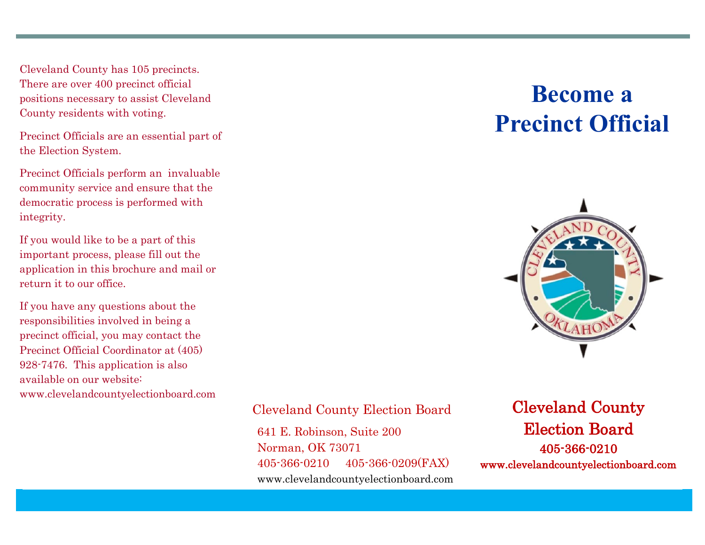Cleveland County has 105 precincts. There are over 400 precinct official positions necessary to assist Cleveland County residents with voting.

Precinct Officials are an essential part of the Election System.

Precinct Officials perform an invaluable community service and ensure that the democratic process is performed with integrity.

If you would like to be a part of this important process, please fill out the application in this brochure and mail or return it to our office.

If you have any questions about the responsibilities involved in being a precinct official, you may contact the Precinct Official Coordinator at (405) 928-7476. This application is also available on our website: www.clevelandcountyelectionboard.com

# **Become a Precinct Official**



#### Cleveland County Election Board

641 E. Robinson, Suite 200 Norman, OK 73071 405-366-0210 405-366-0209(FAX) www.clevelandcountyelectionboard.com

## Cleveland County Election Board 405-366-0210 www.clevelandcountyelectionboard.com